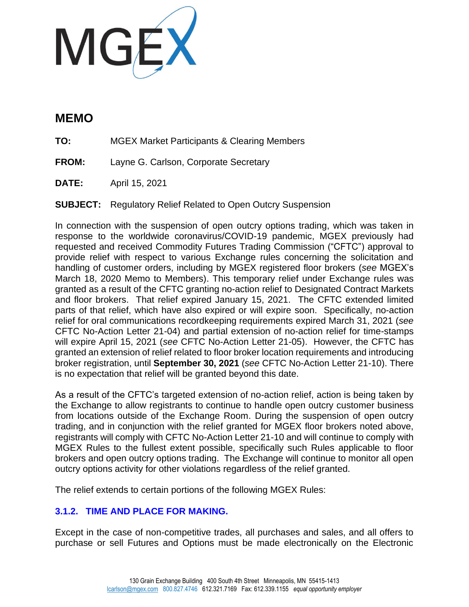

## **MEMO**

**TO:** MGEX Market Participants & Clearing Members

**FROM:** Layne G. Carlson, Corporate Secretary

**DATE:** April 15, 2021

**SUBJECT:** Regulatory Relief Related to Open Outcry Suspension

In connection with the suspension of open outcry options trading, which was taken in response to the worldwide coronavirus/COVID-19 pandemic, MGEX previously had requested and received Commodity Futures Trading Commission ("CFTC") approval to provide relief with respect to various Exchange rules concerning the solicitation and handling of customer orders, including by MGEX registered floor brokers (*see* MGEX's March 18, 2020 Memo to Members). This temporary relief under Exchange rules was granted as a result of the CFTC granting no-action relief to Designated Contract Markets and floor brokers. That relief expired January 15, 2021. The CFTC extended limited parts of that relief, which have also expired or will expire soon. Specifically, no-action relief for oral communications recordkeeping requirements expired March 31, 2021 (*see*  CFTC No-Action Letter 21-04) and partial extension of no-action relief for time-stamps will expire April 15, 2021 (*see* CFTC No-Action Letter 21-05). However, the CFTC has granted an extension of relief related to floor broker location requirements and introducing broker registration, until **September 30, 2021** (*see* CFTC No-Action Letter 21-10). There is no expectation that relief will be granted beyond this date.

As a result of the CFTC's targeted extension of no-action relief, action is being taken by the Exchange to allow registrants to continue to handle open outcry customer business from locations outside of the Exchange Room. During the suspension of open outcry trading, and in conjunction with the relief granted for MGEX floor brokers noted above, registrants will comply with CFTC No-Action Letter 21-10 and will continue to comply with MGEX Rules to the fullest extent possible, specifically such Rules applicable to floor brokers and open outcry options trading. The Exchange will continue to monitor all open outcry options activity for other violations regardless of the relief granted.

The relief extends to certain portions of the following MGEX Rules:

## **3.1.2. TIME AND PLACE FOR MAKING.**

Except in the case of non-competitive trades, all purchases and sales, and all offers to purchase or sell Futures and Options must be made electronically on the Electronic